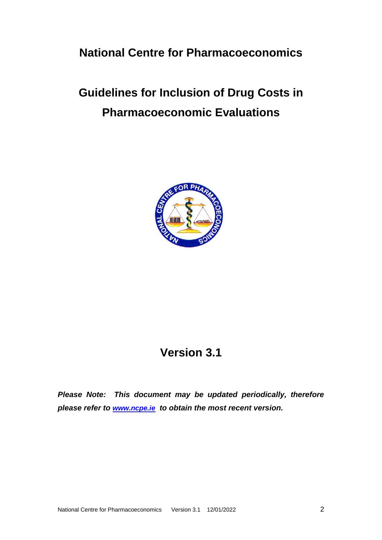## **National Centre for Pharmacoeconomics**

# **Guidelines for Inclusion of Drug Costs in Pharmacoeconomic Evaluations**



## **Version 3.1**

*Please Note: This document may be updated periodically, therefore please refer to [www.ncpe.ie](http://www.ncpe.ie/) to obtain the most recent version.*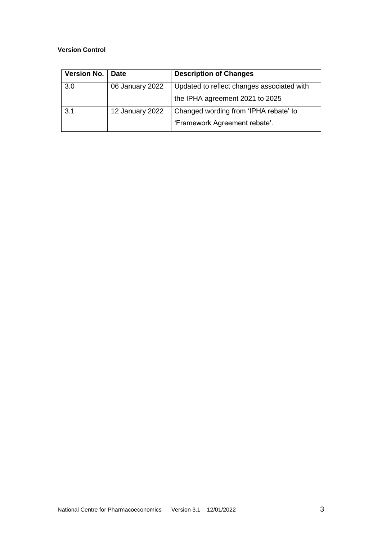#### **Version Control**

| <b>Version No.</b> | <b>Date</b>     | <b>Description of Changes</b>              |
|--------------------|-----------------|--------------------------------------------|
| 3.0                | 06 January 2022 | Updated to reflect changes associated with |
|                    |                 | the IPHA agreement 2021 to 2025            |
| 3.1                | 12 January 2022 | Changed wording from 'IPHA rebate' to      |
|                    |                 | 'Framework Agreement rebate'.              |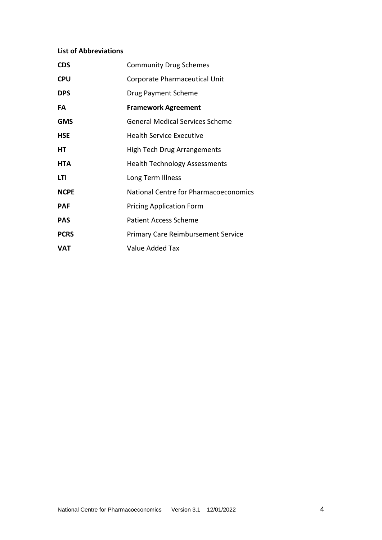## **List of Abbreviations**

| <b>CDS</b>  | <b>Community Drug Schemes</b>             |
|-------------|-------------------------------------------|
| <b>CPU</b>  | Corporate Pharmaceutical Unit             |
| <b>DPS</b>  | Drug Payment Scheme                       |
| FA          | <b>Framework Agreement</b>                |
| <b>GMS</b>  | <b>General Medical Services Scheme</b>    |
| <b>HSE</b>  | <b>Health Service Executive</b>           |
| HT          | <b>High Tech Drug Arrangements</b>        |
| <b>HTA</b>  | <b>Health Technology Assessments</b>      |
| LTI         | Long Term Illness                         |
| <b>NCPE</b> | National Centre for Pharmacoeconomics     |
| <b>PAF</b>  | <b>Pricing Application Form</b>           |
| <b>PAS</b>  | <b>Patient Access Scheme</b>              |
| <b>PCRS</b> | <b>Primary Care Reimbursement Service</b> |
| VAT         | Value Added Tax                           |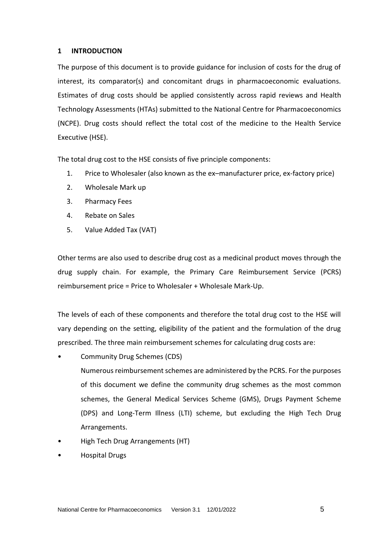#### **1 INTRODUCTION**

The purpose of this document is to provide guidance for inclusion of costs for the drug of interest, its comparator(s) and concomitant drugs in pharmacoeconomic evaluations. Estimates of drug costs should be applied consistently across rapid reviews and Health Technology Assessments (HTAs) submitted to the National Centre for Pharmacoeconomics (NCPE). Drug costs should reflect the total cost of the medicine to the Health Service Executive (HSE).

The total drug cost to the HSE consists of five principle components:

- 1. Price to Wholesaler (also known as the ex–manufacturer price, ex-factory price)
- 2. Wholesale Mark up
- 3. Pharmacy Fees
- 4. Rebate on Sales
- 5. Value Added Tax (VAT)

Other terms are also used to describe drug cost as a medicinal product moves through the drug supply chain. For example, the Primary Care Reimbursement Service (PCRS) reimbursement price = Price to Wholesaler + Wholesale Mark-Up.

The levels of each of these components and therefore the total drug cost to the HSE will vary depending on the setting, eligibility of the patient and the formulation of the drug prescribed. The three main reimbursement schemes for calculating drug costs are:

• Community Drug Schemes (CDS)

Numerous reimbursement schemes are administered by the PCRS. For the purposes of this document we define the community drug schemes as the most common schemes, the General Medical Services Scheme (GMS), Drugs Payment Scheme (DPS) and Long-Term Illness (LTI) scheme, but excluding the High Tech Drug Arrangements.

- High Tech Drug Arrangements (HT)
- Hospital Drugs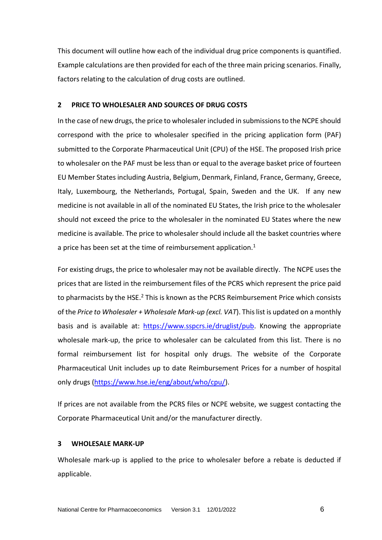This document will outline how each of the individual drug price components is quantified. Example calculations are then provided for each of the three main pricing scenarios. Finally, factors relating to the calculation of drug costs are outlined.

#### **2 PRICE TO WHOLESALER AND SOURCES OF DRUG COSTS**

In the case of new drugs, the price to wholesaler included in submissions to the NCPE should correspond with the price to wholesaler specified in the pricing application form (PAF) submitted to the Corporate Pharmaceutical Unit (CPU) of the HSE. The proposed Irish price to wholesaler on the PAF must be less than or equal to the average basket price of fourteen EU Member States including Austria, Belgium, Denmark, Finland, France, Germany, Greece, Italy, Luxembourg, the Netherlands, Portugal, Spain, Sweden and the UK. If any new medicine is not available in all of the nominated EU States, the Irish price to the wholesaler should not exceed the price to the wholesaler in the nominated EU States where the new medicine is available. The price to wholesaler should include all the basket countries where a price has been set at the time of reimbursement application. $1$ 

For existing drugs, the price to wholesaler may not be available directly. The NCPE uses the prices that are listed in the reimbursement files of the PCRS which represent the price paid to pharmacists by the HSE.<sup>2</sup> This is known as the PCRS Reimbursement Price which consists of the *Price to Wholesaler + Wholesale Mark-up (excl. VAT*). This list is updated on a monthly basis and is available at: [https://www.sspcrs.ie/druglist/pub.](https://www.sspcrs.ie/druglist/pub) Knowing the appropriate wholesale mark-up, the price to wholesaler can be calculated from this list. There is no formal reimbursement list for hospital only drugs. The website of the Corporate Pharmaceutical Unit includes up to date Reimbursement Prices for a number of hospital only drugs [\(https://www.hse.ie/eng/about/who/cpu/\)](https://www.hse.ie/eng/about/who/cpu/).

If prices are not available from the PCRS files or NCPE website, we suggest contacting the Corporate Pharmaceutical Unit and/or the manufacturer directly.

#### **3 WHOLESALE MARK-UP**

Wholesale mark-up is applied to the price to wholesaler before a rebate is deducted if applicable.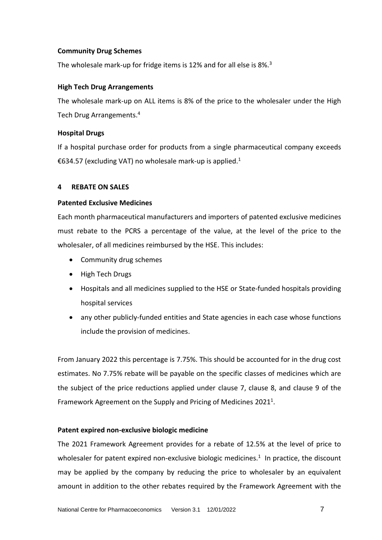## **Community Drug Schemes**

The wholesale mark-up for fridge items is 12% and for all else is 8%.<sup>3</sup>

## **High Tech Drug Arrangements**

The wholesale mark-up on ALL items is 8% of the price to the wholesaler under the High Tech Drug Arrangements. 4

## **Hospital Drugs**

If a hospital purchase order for products from a single pharmaceutical company exceeds €634.57 (excluding VAT) no wholesale mark-up is applied.<sup>1</sup>

## **4 REBATE ON SALES**

## **Patented Exclusive Medicines**

Each month pharmaceutical manufacturers and importers of patented exclusive medicines must rebate to the PCRS a percentage of the value, at the level of the price to the wholesaler, of all medicines reimbursed by the HSE. This includes:

- Community drug schemes
- High Tech Drugs
- Hospitals and all medicines supplied to the HSE or State-funded hospitals providing hospital services
- any other publicly-funded entities and State agencies in each case whose functions include the provision of medicines.

From January 2022 this percentage is 7.75%. This should be accounted for in the drug cost estimates. No 7.75% rebate will be payable on the specific classes of medicines which are the subject of the price reductions applied under clause 7, clause 8, and clause 9 of the Framework Agreement on the Supply and Pricing of Medicines 2021<sup>1</sup>.

## **Patent expired non-exclusive biologic medicine**

The 2021 Framework Agreement provides for a rebate of 12.5% at the level of price to wholesaler for patent expired non-exclusive biologic medicines. $1$  In practice, the discount may be applied by the company by reducing the price to wholesaler by an equivalent amount in addition to the other rebates required by the Framework Agreement with the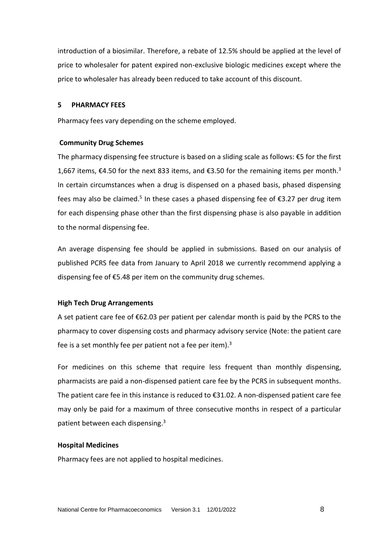introduction of a biosimilar. Therefore, a rebate of 12.5% should be applied at the level of price to wholesaler for patent expired non-exclusive biologic medicines except where the price to wholesaler has already been reduced to take account of this discount.

#### **5 PHARMACY FEES**

Pharmacy fees vary depending on the scheme employed.

#### **Community Drug Schemes**

The pharmacy dispensing fee structure is based on a sliding scale as follows: €5 for the first 1,667 items, €4.50 for the next 833 items, and €3.50 for the remaining items per month.<sup>3</sup> In certain circumstances when a drug is dispensed on a phased basis, phased dispensing fees may also be claimed.<sup>5</sup> In these cases a phased dispensing fee of  $\epsilon$ 3.27 per drug item for each dispensing phase other than the first dispensing phase is also payable in addition to the normal dispensing fee.

An average dispensing fee should be applied in submissions. Based on our analysis of published PCRS fee data from January to April 2018 we currently recommend applying a dispensing fee of €5.48 per item on the community drug schemes.

#### **High Tech Drug Arrangements**

A set patient care fee of €62.03 per patient per calendar month is paid by the PCRS to the pharmacy to cover dispensing costs and pharmacy advisory service (Note: the patient care fee is a set monthly fee per patient not a fee per item).<sup>3</sup>

For medicines on this scheme that require less frequent than monthly dispensing, pharmacists are paid a non-dispensed patient care fee by the PCRS in subsequent months. The patient care fee in this instance is reduced to €31.02. A non-dispensed patient care fee may only be paid for a maximum of three consecutive months in respect of a particular patient between each dispensing.<sup>3</sup>

#### **Hospital Medicines**

Pharmacy fees are not applied to hospital medicines.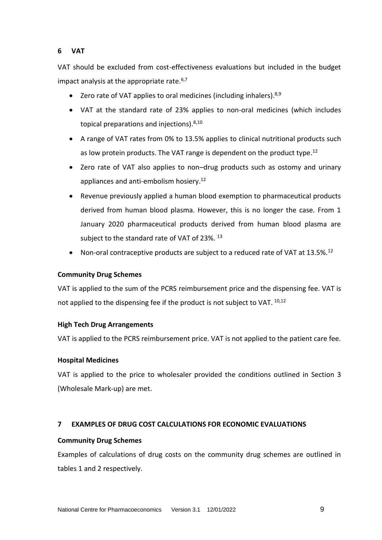## **6 VAT**

VAT should be excluded from cost-effectiveness evaluations but included in the budget impact analysis at the appropriate rate. $6,7$ 

- Zero rate of VAT applies to oral medicines (including inhalers).<sup>8,9</sup>
- VAT at the standard rate of 23% applies to non-oral medicines (which includes topical preparations and injections).<sup>8,10</sup>
- A range of VAT rates from 0% to 13.5% applies to clinical nutritional products such as low protein products. The VAT range is dependent on the product type.<sup>12</sup>
- Zero rate of VAT also applies to non–drug products such as ostomy and urinary appliances and anti-embolism hosiery.<sup>12</sup>
- Revenue previously applied a human blood exemption to pharmaceutical products derived from human blood plasma. However, this is no longer the case. From 1 January 2020 pharmaceutical products derived from human blood plasma are subject to the standard rate of VAT of 23%.<sup>13</sup>
- Non-oral contraceptive products are subject to a reduced rate of VAT at  $13.5\%$ .<sup>12</sup>

## **Community Drug Schemes**

VAT is applied to the sum of the PCRS reimbursement price and the dispensing fee. VAT is not applied to the dispensing fee if the product is not subject to VAT. 10,12

#### **High Tech Drug Arrangements**

VAT is applied to the PCRS reimbursement price. VAT is not applied to the patient care fee.

#### **Hospital Medicines**

VAT is applied to the price to wholesaler provided the conditions outlined in Section 3 (Wholesale Mark-up) are met.

## **7 EXAMPLES OF DRUG COST CALCULATIONS FOR ECONOMIC EVALUATIONS**

#### **Community Drug Schemes**

Examples of calculations of drug costs on the community drug schemes are outlined in tables 1 and 2 respectively.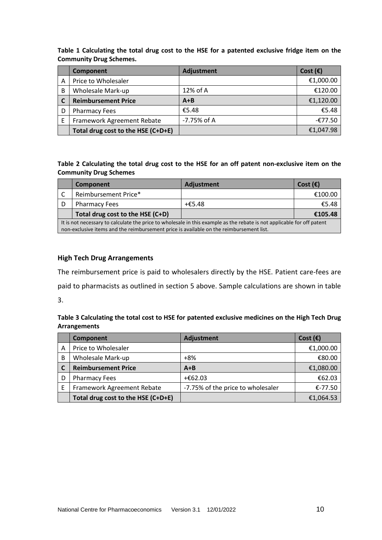**Table 1 Calculating the total drug cost to the HSE for a patented exclusive fridge item on the Community Drug Schemes.**

|   | Component                          | <b>Adjustment</b> | Cost $(\epsilon)$ |
|---|------------------------------------|-------------------|-------------------|
| A | Price to Wholesaler                |                   | €1,000.00         |
| B | Wholesale Mark-up                  | 12% of A          | €120.00           |
|   | <b>Reimbursement Price</b>         | $A + B$           | €1,120.00         |
| D | <b>Pharmacy Fees</b>               | €5.48             | €5.48             |
| F | Framework Agreement Rebate         | -7.75% of A       | $-£77.50$         |
|   | Total drug cost to the HSE (C+D+E) |                   | €1,047.98         |

#### **Table 2 Calculating the total drug cost to the HSE for an off patent non-exclusive item on the Community Drug Schemes**

|                                                                                                                        | Component                                                                               | Adjustment | Cost $(\epsilon)$ |  |  |
|------------------------------------------------------------------------------------------------------------------------|-----------------------------------------------------------------------------------------|------------|-------------------|--|--|
|                                                                                                                        | Reimbursement Price*                                                                    |            | €100.00           |  |  |
| D                                                                                                                      | <b>Pharmacy Fees</b>                                                                    | $+£5.48$   | €5.48             |  |  |
|                                                                                                                        | Total drug cost to the HSE (C+D)                                                        |            | €105.48           |  |  |
| It is not necessary to calculate the price to wholesale in this example as the rebate is not applicable for off patent |                                                                                         |            |                   |  |  |
|                                                                                                                        | non-exclusive items and the reimbursement price is available on the reimbursement list. |            |                   |  |  |

## **High Tech Drug Arrangements**

The reimbursement price is paid to wholesalers directly by the HSE. Patient care-fees are paid to pharmacists as outlined in section 5 above. Sample calculations are shown in table 3.

**Table 3 Calculating the total cost to HSE for patented exclusive medicines on the High Tech Drug Arrangements**

|   | Component                          | Adjustment                        | Cost $(\epsilon)$ |
|---|------------------------------------|-----------------------------------|-------------------|
| Α | Price to Wholesaler                |                                   | €1,000.00         |
| В | Wholesale Mark-up                  | $+8%$                             | €80.00            |
|   | <b>Reimbursement Price</b>         | $A + B$                           | €1,080.00         |
| D | <b>Pharmacy Fees</b>               | +€62.03                           | €62.03            |
| F | Framework Agreement Rebate         | -7.75% of the price to wholesaler | €-77.50           |
|   | Total drug cost to the HSE (C+D+E) |                                   | €1,064.53         |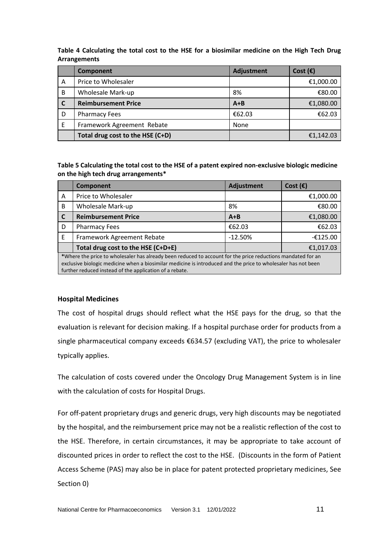**Table 4 Calculating the total cost to the HSE for a biosimilar medicine on the High Tech Drug Arrangements**

|   | Component                        | <b>Adjustment</b> | Cost $(\epsilon)$ |
|---|----------------------------------|-------------------|-------------------|
| A | Price to Wholesaler              |                   | €1,000.00         |
| B | Wholesale Mark-up                | 8%                | €80.00            |
|   | <b>Reimbursement Price</b>       | $A + B$           | €1,080.00         |
| D | <b>Pharmacy Fees</b>             | €62.03            | €62.03            |
| E | Framework Agreement Rebate       | None              |                   |
|   | Total drug cost to the HSE (C+D) |                   | €1,142.03         |

**Table 5 Calculating the total cost to the HSE of a patent expired non-exclusive biologic medicine on the high tech drug arrangements\***

|   | <b>Component</b>                                                                                                                                                                                                                                                                        | <b>Adjustment</b> | Cost $(\epsilon)$ |  |
|---|-----------------------------------------------------------------------------------------------------------------------------------------------------------------------------------------------------------------------------------------------------------------------------------------|-------------------|-------------------|--|
| A | Price to Wholesaler                                                                                                                                                                                                                                                                     |                   | €1,000.00         |  |
| B | <b>Wholesale Mark-up</b>                                                                                                                                                                                                                                                                | 8%                | €80.00            |  |
| C | <b>Reimbursement Price</b>                                                                                                                                                                                                                                                              | $A + B$           | €1,080.00         |  |
| D | <b>Pharmacy Fees</b>                                                                                                                                                                                                                                                                    | €62.03            | €62.03            |  |
| E | Framework Agreement Rebate                                                                                                                                                                                                                                                              | $-12.50%$         | $-£125.00$        |  |
|   | Total drug cost to the HSE (C+D+E)                                                                                                                                                                                                                                                      |                   | €1,017.03         |  |
|   | *Where the price to wholesaler has already been reduced to account for the price reductions mandated for an<br>exclusive biologic medicine when a biosimilar medicine is introduced and the price to wholesaler has not been<br>further reduced instead of the application of a rebate. |                   |                   |  |

#### **Hospital Medicines**

The cost of hospital drugs should reflect what the HSE pays for the drug, so that the evaluation is relevant for decision making. If a hospital purchase order for products from a single pharmaceutical company exceeds €634.57 (excluding VAT), the price to wholesaler typically applies.

The calculation of costs covered under the Oncology Drug Management System is in line with the calculation of costs for Hospital Drugs.

For off-patent proprietary drugs and generic drugs, very high discounts may be negotiated by the hospital, and the reimbursement price may not be a realistic reflection of the cost to the HSE. Therefore, in certain circumstances, it may be appropriate to take account of discounted prices in order to reflect the cost to the HSE. (Discounts in the form of Patient Access Scheme (PAS) may also be in place for patent protected proprietary medicines, See Section [0\)](#page-11-0)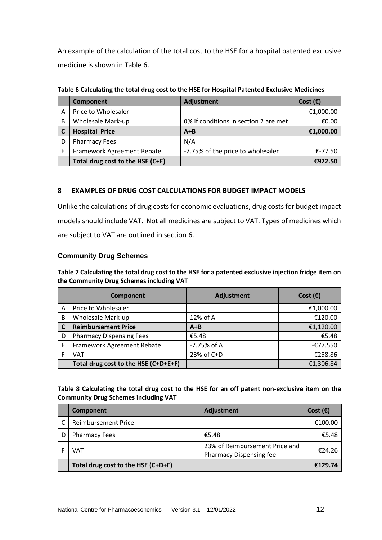An example of the calculation of the total cost to the HSE for a hospital patented exclusive medicine is shown in Table 6.

|   | Component                        | <b>Adjustment</b>                     | Cost $(\epsilon)$ |
|---|----------------------------------|---------------------------------------|-------------------|
| A | Price to Wholesaler              |                                       | €1,000.00         |
| В | Wholesale Mark-up                | 0% if conditions in section 2 are met | €0.00             |
|   | <b>Hospital Price</b>            | $A + B$                               | €1,000.00         |
|   | <b>Pharmacy Fees</b>             | N/A                                   |                   |
|   | Framework Agreement Rebate       | -7.75% of the price to wholesaler     | €-77.50           |
|   | Total drug cost to the HSE (C+E) |                                       | €922.50           |

**Table 6 Calculating the total drug cost to the HSE for Hospital Patented Exclusive Medicines**

## **8 EXAMPLES OF DRUG COST CALCULATIONS FOR BUDGET IMPACT MODELS**

Unlike the calculations of drug costs for economic evaluations, drug costs for budget impact models should include VAT. Not all medicines are subject to VAT. Types of medicines which are subject to VAT are outlined in section 6.

## **Community Drug Schemes**

**Table 7 Calculating the total drug cost to the HSE for a patented exclusive injection fridge item on the Community Drug Schemes including VAT**

|   | Component                            | <b>Adjustment</b> | Cost $(\epsilon)$ |
|---|--------------------------------------|-------------------|-------------------|
| A | Price to Wholesaler                  |                   | €1,000.00         |
| B | Wholesale Mark-up                    | 12% of A          | €120.00           |
|   | <b>Reimbursement Price</b>           | $A + B$           | €1,120.00         |
| D | <b>Pharmacy Dispensing Fees</b>      | €5.48             | €5.48             |
| Е | Framework Agreement Rebate           | -7.75% of A       | $-£77.550$        |
|   | VAT                                  | 23% of C+D        | €258.86           |
|   | Total drug cost to the HSE (C+D+E+F) |                   | €1,306.84         |

**Table 8 Calculating the total drug cost to the HSE for an off patent non-exclusive item on the Community Drug Schemes including VAT**

| Component                          | <b>Adjustment</b>                                         | Cost $(\epsilon)$ |
|------------------------------------|-----------------------------------------------------------|-------------------|
| <b>Reimbursement Price</b>         |                                                           | €100.00           |
| <b>Pharmacy Fees</b>               | €5.48                                                     | €5.48             |
| VAT                                | 23% of Reimbursement Price and<br>Pharmacy Dispensing fee | €24.26            |
| Total drug cost to the HSE (C+D+F) |                                                           | €129.74           |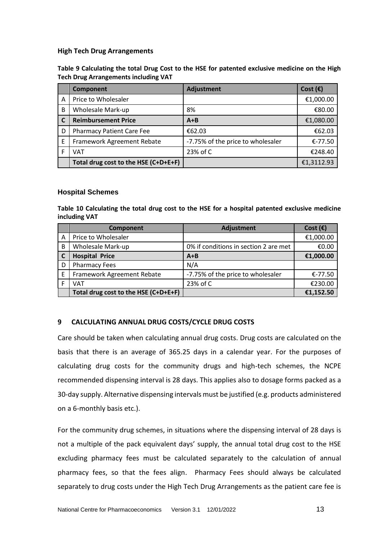#### **High Tech Drug Arrangements**

**Table 9 Calculating the total Drug Cost to the HSE for patented exclusive medicine on the High Tech Drug Arrangements including VAT**

|   | Component                            | <b>Adjustment</b>                 | Cost $(\epsilon)$ |
|---|--------------------------------------|-----------------------------------|-------------------|
| A | Price to Wholesaler                  |                                   | €1,000.00         |
| B | Wholesale Mark-up                    | 8%                                | €80.00            |
|   | <b>Reimbursement Price</b>           | $A + B$                           | €1,080.00         |
| D | <b>Pharmacy Patient Care Fee</b>     | €62.03                            | €62.03            |
| E | Framework Agreement Rebate           | -7.75% of the price to wholesaler | €-77.50           |
|   | VAT                                  | 23% of C                          | €248.40           |
|   | Total drug cost to the HSE (C+D+E+F) |                                   | €1,3112.93        |

#### **Hospital Schemes**

**Table 10 Calculating the total drug cost to the HSE for a hospital patented exclusive medicine including VAT**

|   | Component                            | <b>Adjustment</b>                     | Cost $(\epsilon)$ |
|---|--------------------------------------|---------------------------------------|-------------------|
| Α | Price to Wholesaler                  |                                       | €1,000.00         |
| B | Wholesale Mark-up                    | 0% if conditions in section 2 are met | €0.00             |
|   | <b>Hospital Price</b>                | $A + B$                               | €1,000.00         |
| D | <b>Pharmacy Fees</b>                 | N/A                                   |                   |
| E | Framework Agreement Rebate           | -7.75% of the price to wholesaler     | €-77.50           |
|   | VAT                                  | 23% of C                              | €230.00           |
|   | Total drug cost to the HSE (C+D+E+F) |                                       | €1,152.50         |

## <span id="page-11-0"></span>**9 CALCULATING ANNUAL DRUG COSTS/CYCLE DRUG COSTS**

Care should be taken when calculating annual drug costs. Drug costs are calculated on the basis that there is an average of 365.25 days in a calendar year. For the purposes of calculating drug costs for the community drugs and high-tech schemes, the NCPE recommended dispensing interval is 28 days. This applies also to dosage forms packed as a 30-day supply. Alternative dispensing intervals must be justified (e.g. products administered on a 6-monthly basis etc.).

For the community drug schemes, in situations where the dispensing interval of 28 days is not a multiple of the pack equivalent days' supply, the annual total drug cost to the HSE excluding pharmacy fees must be calculated separately to the calculation of annual pharmacy fees, so that the fees align. Pharmacy Fees should always be calculated separately to drug costs under the High Tech Drug Arrangements as the patient care fee is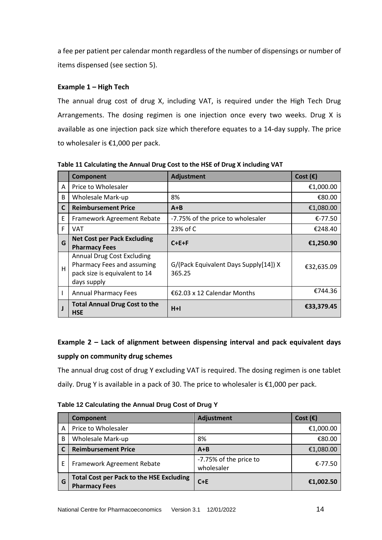a fee per patient per calendar month regardless of the number of dispensings or number of items dispensed (see section 5).

## **Example 1 – High Tech**

The annual drug cost of drug X, including VAT, is required under the High Tech Drug Arrangements. The dosing regimen is one injection once every two weeks. Drug X is available as one injection pack size which therefore equates to a 14-day supply. The price to wholesaler is €1,000 per pack.

|              | Component                                                                                                       | <b>Adjustment</b>                               | Cost $(\epsilon)$ |
|--------------|-----------------------------------------------------------------------------------------------------------------|-------------------------------------------------|-------------------|
| A            | Price to Wholesaler                                                                                             |                                                 | €1,000.00         |
| B            | Wholesale Mark-up                                                                                               | 8%                                              | €80.00            |
| $\mathsf{C}$ | <b>Reimbursement Price</b>                                                                                      | $A + B$                                         | €1,080.00         |
| Ε            | Framework Agreement Rebate                                                                                      | -7.75% of the price to wholesaler               | €-77.50           |
| F            | VAT                                                                                                             | 23% of C                                        | €248.40           |
| G            | <b>Net Cost per Pack Excluding</b><br><b>Pharmacy Fees</b>                                                      | $C + E + F$                                     | €1,250.90         |
| H            | <b>Annual Drug Cost Excluding</b><br>Pharmacy Fees and assuming<br>pack size is equivalent to 14<br>days supply | G/(Pack Equivalent Days Supply[14]) X<br>365.25 | €32,635.09        |
|              | <b>Annual Pharmacy Fees</b>                                                                                     | €62.03 x 12 Calendar Months                     | €744.36           |
|              | <b>Total Annual Drug Cost to the</b><br><b>HSE</b>                                                              | $H+I$                                           | €33,379.45        |

**Table 11 Calculating the Annual Drug Cost to the HSE of Drug X including VAT**

## **Example 2 – Lack of alignment between dispensing interval and pack equivalent days supply on community drug schemes**

The annual drug cost of drug Y excluding VAT is required. The dosing regimen is one tablet daily. Drug Y is available in a pack of 30. The price to wholesaler is €1,000 per pack.

## **Table 12 Calculating the Annual Drug Cost of Drug Y**

|   | <b>Component</b>                                                        | Adjustment                           | Cost $(\epsilon)$ |
|---|-------------------------------------------------------------------------|--------------------------------------|-------------------|
| Α | Price to Wholesaler                                                     |                                      | €1,000.00         |
| B | Wholesale Mark-up                                                       | 8%                                   | €80.00            |
|   | <b>Reimbursement Price</b>                                              | $A + B$                              | €1,080.00         |
| E | Framework Agreement Rebate                                              | -7.75% of the price to<br>wholesaler | €-77.50           |
| G | <b>Total Cost per Pack to the HSE Excluding</b><br><b>Pharmacy Fees</b> | $C+E$                                | €1,002.50         |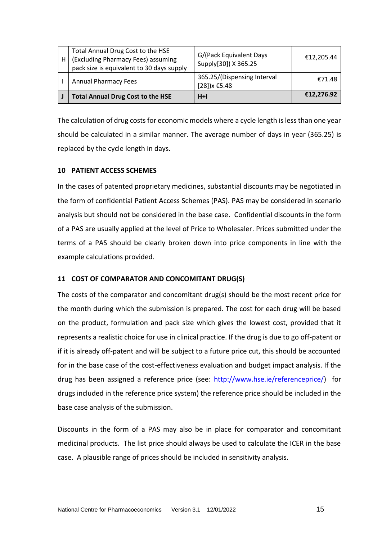| H | Total Annual Drug Cost to the HSE<br>(Excluding Pharmacy Fees) assuming<br>pack size is equivalent to 30 days supply | G/(Pack Equivalent Days<br>Supply[30]) X 365.25            | €12,205.44 |
|---|----------------------------------------------------------------------------------------------------------------------|------------------------------------------------------------|------------|
|   | <b>Annual Pharmacy Fees</b>                                                                                          | 365.25/(Dispensing Interval<br>[28]) $x \text{ } \in 5.48$ | €71.48     |
|   | <b>Total Annual Drug Cost to the HSE</b>                                                                             | $H+I$                                                      | €12,276.92 |

The calculation of drug costs for economic models where a cycle length is less than one year should be calculated in a similar manner. The average number of days in year (365.25) is replaced by the cycle length in days.

## **10 PATIENT ACCESS SCHEMES**

In the cases of patented proprietary medicines, substantial discounts may be negotiated in the form of confidential Patient Access Schemes (PAS). PAS may be considered in scenario analysis but should not be considered in the base case. Confidential discounts in the form of a PAS are usually applied at the level of Price to Wholesaler. Prices submitted under the terms of a PAS should be clearly broken down into price components in line with the example calculations provided.

## **11 COST OF COMPARATOR AND CONCOMITANT DRUG(S)**

The costs of the comparator and concomitant drug(s) should be the most recent price for the month during which the submission is prepared. The cost for each drug will be based on the product, formulation and pack size which gives the lowest cost, provided that it represents a realistic choice for use in clinical practice. If the drug is due to go off-patent or if it is already off-patent and will be subject to a future price cut, this should be accounted for in the base case of the cost-effectiveness evaluation and budget impact analysis. If the drug has been assigned a reference price (see: [http://www.hse.ie/referenceprice/\)](http://www.hse.ie/referenceprice/) for drugs included in the reference price system) the reference price should be included in the base case analysis of the submission.

Discounts in the form of a PAS may also be in place for comparator and concomitant medicinal products. The list price should always be used to calculate the ICER in the base case. A plausible range of prices should be included in sensitivity analysis.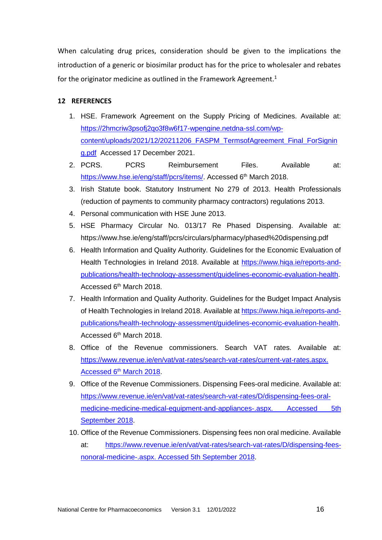When calculating drug prices, consideration should be given to the implications the introduction of a generic or biosimilar product has for the price to wholesaler and rebates for the originator medicine as outlined in the Framework Agreement.<sup>1</sup>

## **12 REFERENCES**

- 1. HSE. Framework Agreement on the Supply Pricing of Medicines. Available at: [https://2hmcriw3psofj2qo3f8w6f17-wpengine.netdna-ssl.com/wp](https://2hmcriw3psofj2qo3f8w6f17-wpengine.netdna-ssl.com/wp-content/uploads/2021/12/20211206_FASPM_TermsofAgreement_Final_ForSigning.pdf)[content/uploads/2021/12/20211206\\_FASPM\\_TermsofAgreement\\_Final\\_ForSignin](https://2hmcriw3psofj2qo3f8w6f17-wpengine.netdna-ssl.com/wp-content/uploads/2021/12/20211206_FASPM_TermsofAgreement_Final_ForSigning.pdf) [g.pdf](https://2hmcriw3psofj2qo3f8w6f17-wpengine.netdna-ssl.com/wp-content/uploads/2021/12/20211206_FASPM_TermsofAgreement_Final_ForSigning.pdf) Accessed 17 December 2021.
- 2. PCRS. PCRS Reimbursement Files. Available at: [https://www.hse.ie/eng/staff/pcrs/items/.](https://www.hse.ie/eng/staff/pcrs/items/) Accessed 6<sup>th</sup> March 2018.
- 3. Irish Statute book. Statutory Instrument No 279 of 2013. Health Professionals (reduction of payments to community pharmacy contractors) regulations 2013.
- 4. Personal communication with HSE June 2013.
- 5. HSE Pharmacy Circular No. 013/17 Re Phased Dispensing. Available at: https://www.hse.ie/eng/staff/pcrs/circulars/pharmacy/phased%20dispensing.pdf
- 6. Health Information and Quality Authority. Guidelines for the Economic Evaluation of Health Technologies in Ireland 2018. Available at [https://www.hiqa.ie/reports-and](https://www.hiqa.ie/reports-and-publications/health-technology-assessment/guidelines-economic-evaluation-health)[publications/health-technology-assessment/guidelines-economic-evaluation-health.](https://www.hiqa.ie/reports-and-publications/health-technology-assessment/guidelines-economic-evaluation-health) Accessed 6th March 2018.
- 7. Health Information and Quality Authority. Guidelines for the Budget Impact Analysis of Health Technologies in Ireland 2018. Available at [https://www.hiqa.ie/reports-and](https://www.hiqa.ie/reports-and-publications/health-technology-assessment/guidelines-economic-evaluation-health)[publications/health-technology-assessment/guidelines-economic-evaluation-health.](https://www.hiqa.ie/reports-and-publications/health-technology-assessment/guidelines-economic-evaluation-health) Accessed 6th March 2018.
- 8. Office of the Revenue commissioners. Search VAT rates. Available at: [https://www.revenue.ie/en/vat/vat-rates/search-vat-rates/current-vat-rates.aspx.](https://www.revenue.ie/en/vat/vat-rates/search-vat-rates/current-vat-rates.aspx.%20Accessed%206th%20March%202018)  Accessed 6<sup>th</sup> [March 2018.](https://www.revenue.ie/en/vat/vat-rates/search-vat-rates/current-vat-rates.aspx.%20Accessed%206th%20March%202018)
- 9. Office of the Revenue Commissioners. Dispensing Fees-oral medicine. Available at: [https://www.revenue.ie/en/vat/vat-rates/search-vat-rates/D/dispensing-fees-oral](https://www.revenue.ie/en/vat/vat-rates/search-vat-rates/D/dispensing-fees-oral-medicine-medicine-medical-equipment-and-appliances-.aspx.%20Accessed%205th%20September%202018)medicine-medicine-medical-equipment-and-appliances-.aspx. Accessed 5th [September 2018.](https://www.revenue.ie/en/vat/vat-rates/search-vat-rates/D/dispensing-fees-oral-medicine-medicine-medical-equipment-and-appliances-.aspx.%20Accessed%205th%20September%202018)
- 10. Office of the Revenue Commissioners. Dispensing fees non oral medicine. Available at: [https://www.revenue.ie/en/vat/vat-rates/search-vat-rates/D/dispensing-fees](https://www.revenue.ie/en/vat/vat-rates/search-vat-rates/D/dispensing-fees-nonoral-medicine-.aspx.%20Accessed%205th%20Septebmer%202018)[nonoral-medicine-.aspx. Accessed](https://www.revenue.ie/en/vat/vat-rates/search-vat-rates/D/dispensing-fees-nonoral-medicine-.aspx.%20Accessed%205th%20Septebmer%202018) 5th September 2018.